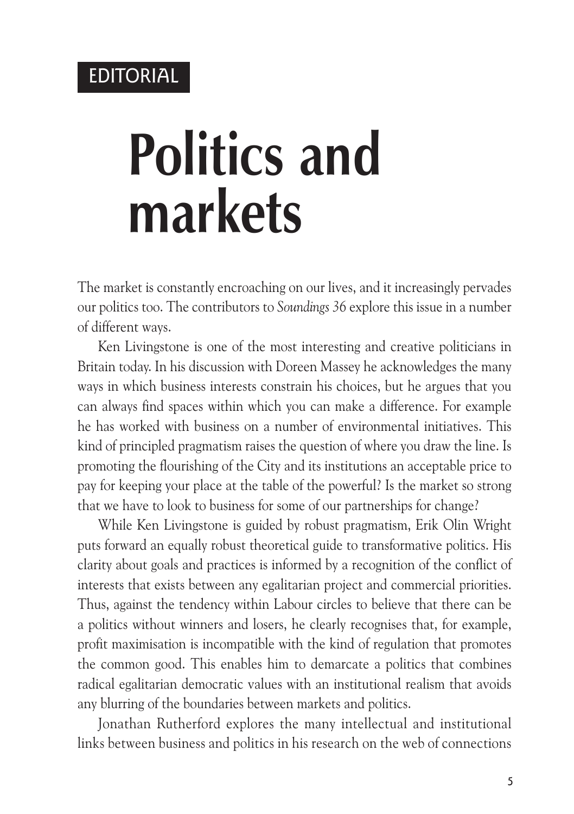### EDITORIAL

# **Politics and markets**

The market is constantly encroaching on our lives, and it increasingly pervades our politics too. The contributors to *Soundings 36* explore this issue in a number of different ways.

Ken Livingstone is one of the most interesting and creative politicians in Britain today. In his discussion with Doreen Massey he acknowledges the many ways in which business interests constrain his choices, but he argues that you can always find spaces within which you can make a difference. For example he has worked with business on a number of environmental initiatives. This kind of principled pragmatism raises the question of where you draw the line. Is promoting the flourishing of the City and its institutions an acceptable price to pay for keeping your place at the table of the powerful? Is the market so strong that we have to look to business for some of our partnerships for change?

While Ken Livingstone is guided by robust pragmatism, Erik Olin Wright puts forward an equally robust theoretical guide to transformative politics. His clarity about goals and practices is informed by a recognition of the conflict of interests that exists between any egalitarian project and commercial priorities. Thus, against the tendency within Labour circles to believe that there can be a politics without winners and losers, he clearly recognises that, for example, profit maximisation is incompatible with the kind of regulation that promotes the common good. This enables him to demarcate a politics that combines radical egalitarian democratic values with an institutional realism that avoids any blurring of the boundaries between markets and politics.

Jonathan Rutherford explores the many intellectual and institutional links between business and politics in his research on the web of connections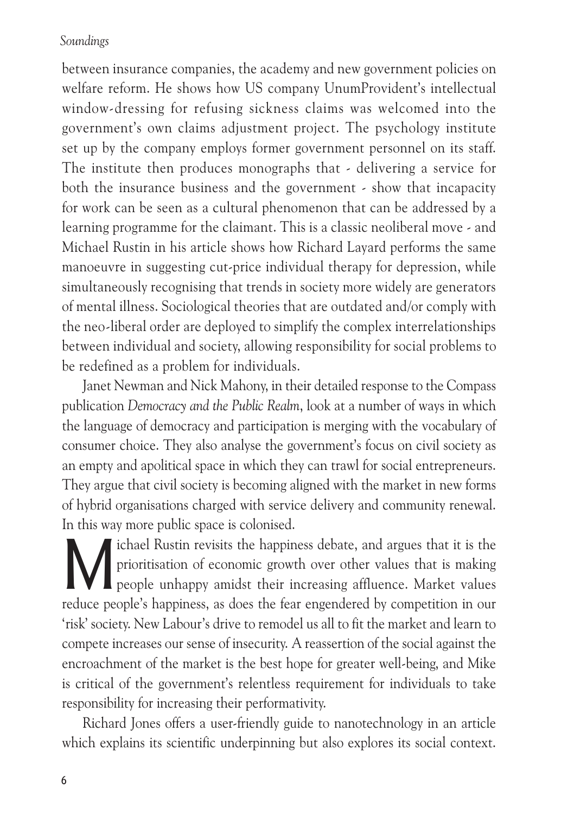#### *Soundings*

between insurance companies, the academy and new government policies on welfare reform. He shows how US company UnumProvident's intellectual window-dressing for refusing sickness claims was welcomed into the government's own claims adjustment project. The psychology institute set up by the company employs former government personnel on its staff. The institute then produces monographs that - delivering a service for both the insurance business and the government - show that incapacity for work can be seen as a cultural phenomenon that can be addressed by a learning programme for the claimant. This is a classic neoliberal move - and Michael Rustin in his article shows how Richard Layard performs the same manoeuvre in suggesting cut-price individual therapy for depression, while simultaneously recognising that trends in society more widely are generators of mental illness. Sociological theories that are outdated and/or comply with the neo-liberal order are deployed to simplify the complex interrelationships between individual and society, allowing responsibility for social problems to be redefined as a problem for individuals.

Janet Newman and Nick Mahony, in their detailed response to the Compass publication *Democracy and the Public Realm*, look at a number of ways in which the language of democracy and participation is merging with the vocabulary of consumer choice. They also analyse the government's focus on civil society as an empty and apolitical space in which they can trawl for social entrepreneurs. They argue that civil society is becoming aligned with the market in new forms of hybrid organisations charged with service delivery and community renewal. In this way more public space is colonised.

In the University of the happiness debate, and argues that it is the prioritisation of economic growth over other values that is making people unhappy amidst their increasing affluence. Market values prioritisation of economic growth over other values that is making **A** people unhappy amidst their increasing affluence. Market values reduce people's happiness, as does the fear engendered by competition in our 'risk' society. New Labour's drive to remodel us all to fit the market and learn to compete increases our sense of insecurity. A reassertion of the social against the encroachment of the market is the best hope for greater well-being, and Mike is critical of the government's relentless requirement for individuals to take responsibility for increasing their performativity.

Richard Jones offers a user-friendly guide to nanotechnology in an article which explains its scientific underpinning but also explores its social context.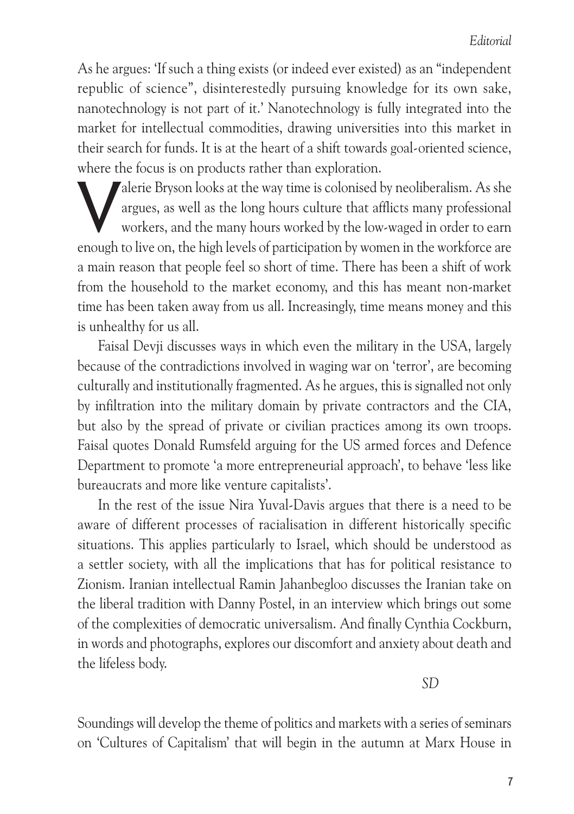As he argues: 'If such a thing exists (or indeed ever existed) as an "independent republic of science", disinterestedly pursuing knowledge for its own sake, nanotechnology is not part of it.' Nanotechnology is fully integrated into the market for intellectual commodities, drawing universities into this market in their search for funds. It is at the heart of a shift towards goal-oriented science, where the focus is on products rather than exploration.

Salerie Bryson looks at the way time is colonised by neoliberalism. As she<br>argues, as well as the long hours culture that afflicts many professional<br>workers, and the many hours worked by the low-waged in order to earn<br>enou argues, as well as the long hours culture that afflicts many professional workers, and the many hours worked by the low-waged in order to earn enough to live on, the high levels of participation by women in the workforce are a main reason that people feel so short of time. There has been a shift of work from the household to the market economy, and this has meant non-market time has been taken away from us all. Increasingly, time means money and this is unhealthy for us all.

Faisal Devji discusses ways in which even the military in the USA, largely because of the contradictions involved in waging war on 'terror', are becoming culturally and institutionally fragmented. As he argues, this is signalled not only by infiltration into the military domain by private contractors and the CIA, but also by the spread of private or civilian practices among its own troops. Faisal quotes Donald Rumsfeld arguing for the US armed forces and Defence Department to promote 'a more entrepreneurial approach', to behave 'less like bureaucrats and more like venture capitalists'.

In the rest of the issue Nira Yuval-Davis argues that there is a need to be aware of different processes of racialisation in different historically specific situations. This applies particularly to Israel, which should be understood as a settler society, with all the implications that has for political resistance to Zionism. Iranian intellectual Ramin Jahanbegloo discusses the Iranian take on the liberal tradition with Danny Postel, in an interview which brings out some of the complexities of democratic universalism. And finally Cynthia Cockburn, in words and photographs, explores our discomfort and anxiety about death and the lifeless body.

*SD*

Soundings will develop the theme of politics and markets with a series of seminars on 'Cultures of Capitalism' that will begin in the autumn at Marx House in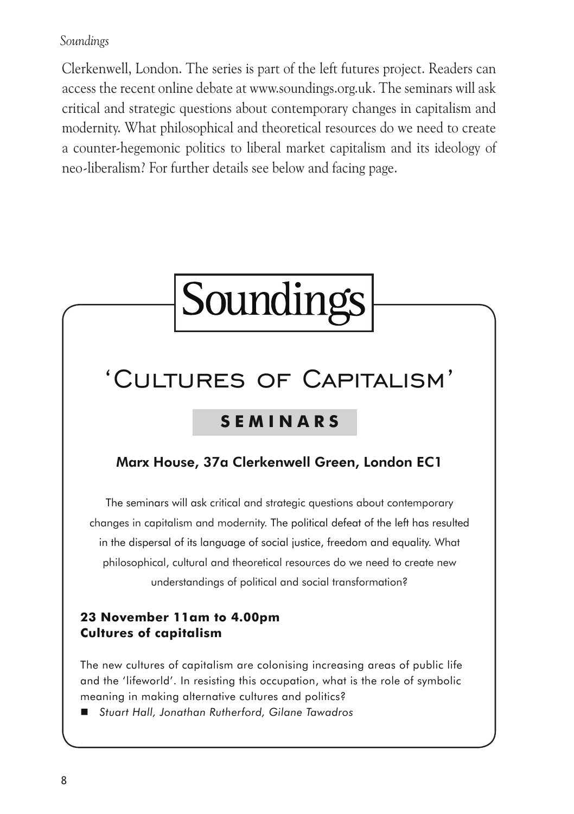#### *Soundings*

Clerkenwell, London. The series is part of the left futures project. Readers can access the recent online debate at www.soundings.org.uk. The seminars will ask critical and strategic questions about contemporary changes in capitalism and modernity. What philosophical and theoretical resources do we need to create a counter-hegemonic politics to liberal market capitalism and its ideology of neo-liberalism? For further details see below and facing page.

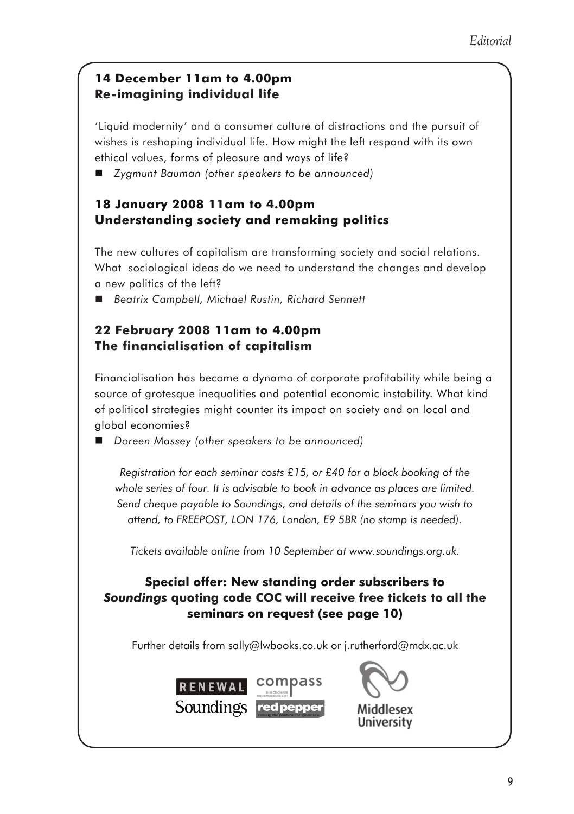#### **14 December 11am to 4.00pm Re-imagining individual life**

'Liquid modernity' and a consumer culture of distractions and the pursuit of wishes is reshaping individual life. How might the left respond with its own ethical values, forms of pleasure and ways of life?

*Zygmunt Bauman (other speakers to be announced)*

#### **18 January 2008 11am to 4.00pm Understanding society and remaking politics**

The new cultures of capitalism are transforming society and social relations. What sociological ideas do we need to understand the changes and develop a new politics of the left?

*Beatrix Campbell, Michael Rustin, Richard Sennett*

#### **22 February 2008 11am to 4.00pm The financialisation of capitalism**

Financialisation has become a dynamo of corporate profitability while being a source of grotesque inequalities and potential economic instability. What kind of political strategies might counter its impact on society and on local and global economies?

*Doreen Massey (other speakers to be announced)*

*Registration for each seminar costs £15, or £40 for a block booking of the whole series of four. It is advisable to book in advance as places are limited. Send cheque payable to Soundings, and details of the seminars you wish to attend, to FREEPOST, LON 176, London, E9 5BR (no stamp is needed).* 

*Tickets available online from 10 September at www.soundings.org.uk.* 

#### **Special offer: New standing order subscribers to**  *Soundings* **quoting code COC will receive free tickets to all the seminars on request (see page 10)**

Further details from sally@lwbooks.co.uk or j.rutherford@mdx.ac.uk